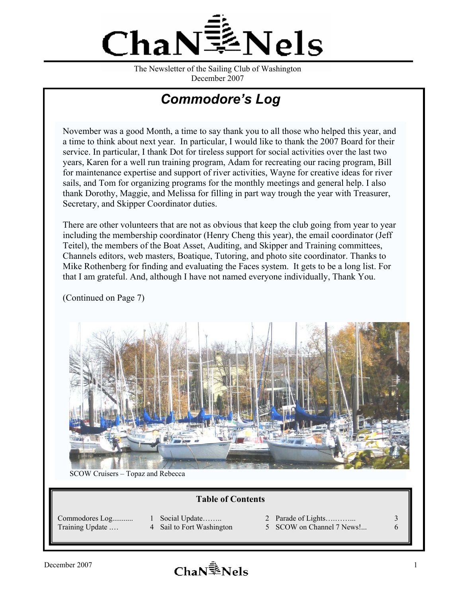

The Newsletter of the Sailing Club of Washington December 2007

# *Commodore's Log*

November was a good Month, a time to say thank you to all those who helped this year, and a time to think about next year. In particular, I would like to thank the 2007 Board for their service. In particular, I thank Dot for tireless support for social activities over the last two years, Karen for a well run training program, Adam for recreating our racing program, Bill for maintenance expertise and support of river activities, Wayne for creative ideas for river sails, and Tom for organizing programs for the monthly meetings and general help. I also thank Dorothy, Maggie, and Melissa for filling in part way trough the year with Treasurer, Secretary, and Skipper Coordinator duties.

There are other volunteers that are not as obvious that keep the club going from year to year including the membership coordinator (Henry Cheng this year), the email coordinator (Jeff Teitel), the members of the Boat Asset, Auditing, and Skipper and Training committees, Channels editors, web masters, Boatique, Tutoring, and photo site coordinator. Thanks to Mike Rothenberg for finding and evaluating the Faces system. It gets to be a long list. For that I am grateful. And, although I have not named everyone individually, Thank You.

(Continued on Page 7)



SCOW Cruisers – Topaz and Rebecca

#### **Table of Contents**

Commodores Log........... 1 Social Update…….. 2 Parade of Lights….……... 3

- 
- Training Update ... 4 Sail to Fort Washington 5 SCOW on Channel 7 News!... 6
- -

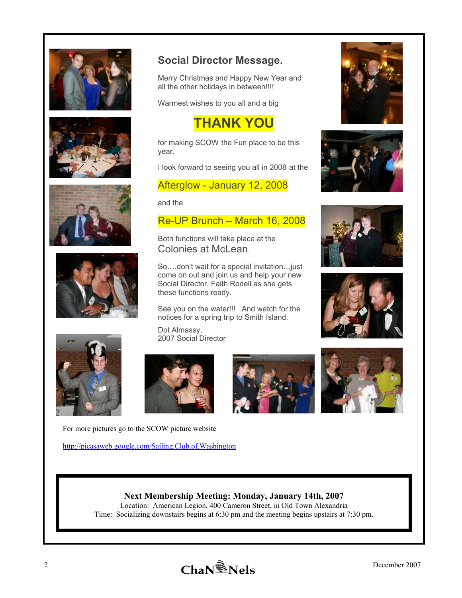











For more pictures go to the SCOW picture website

http://picasaweb.google.com/Sailing.Club.of.Washington

# **Social Director Message.**

Merry Christmas and Happy New Year and all the other holidays in between!!!!

Warmest wishes to you all and a big

# **THANK YOU**

for making SCOW the Fun place to be this year.

I look forward to seeing you all in 2008 at the

#### Afterglow - January 12, 2008

and the

#### Re-UP Brunch – March 16, 2008

Both functions will take place at the Colonies at McLean.

So….don't wait for a special invitation…just come on out and join us and help your new Social Director, Faith Rodell as she gets these functions ready.

See you on the water!!! And watch for the notices for a spring trip to Smith Island.

Dot Almassy, 2007 Social Director





#### **Next Membership Meeting: Monday, January 14th, 2007**

Location: American Legion, 400 Cameron Street, in Old Town Alexandria Time: Socializing downstairs begins at 6:30 pm and the meeting begins upstairs at 7:30 pm.









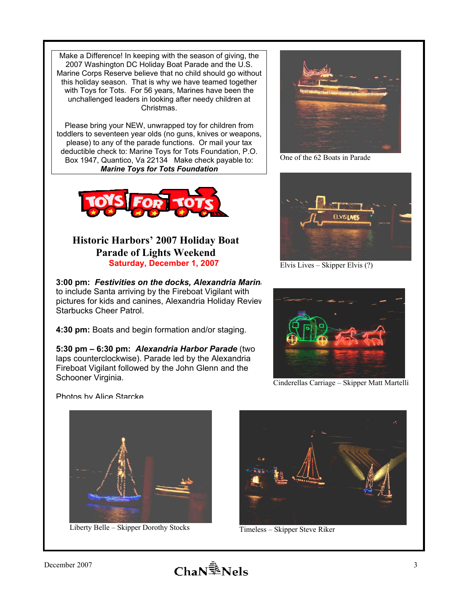Make a Difference! In keeping with the season of giving, the 2007 Washington DC Holiday Boat Parade and the U.S. Marine Corps Reserve believe that no child should go without this holiday season. That is why we have teamed together with Toys for Tots. For 56 years, Marines have been the unchallenged leaders in looking after needy children at Christmas.

Please bring your NEW, unwrapped toy for children from toddlers to seventeen year olds (no guns, knives or weapons, please) to any of the parade functions. Or mail your tax deductible check to: Marine Toys for Tots Foundation, P.O. Box 1947, Quantico, Va 22134 Make check payable to: *Marine Toys for Tots Foundation*



### **Historic Harbors' 2007 Holiday Boat Parade of Lights Weekend Saturday, December 1, 2007**

**3:00 pm:** *Festivities on the docks, Alexandria Marina* to include Santa arriving by the Fireboat Vigilant with pictures for kids and canines, Alexandria Holiday Review Starbucks Cheer Patrol.

**4:30 pm:** Boats and begin formation and/or staging.

**5:30 pm – 6:30 pm:** *Alexandria Harbor Parade* (two laps counterclockwise). Parade led by the Alexandria Fireboat Vigilant followed by the John Glenn and the Schooner Virginia.



One of the 62 Boats in Parade



Elvis Lives – Skipper Elvis (?)



Cinderellas Carriage – Skipper Matt Martelli

Photos by Alice Starcke



Liberty Belle – Skipper Dorothy Stocks



Timeless – Skipper Steve Riker

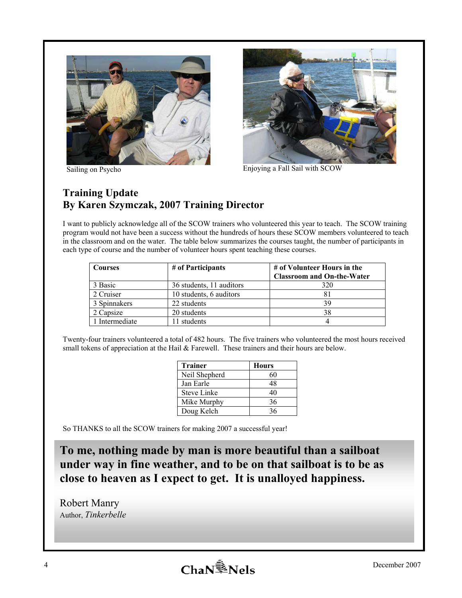



Sailing on Psycho Enjoying a Fall Sail with SCOW

## **Training Update By Karen Szymczak, 2007 Training Director**

I want to publicly acknowledge all of the SCOW trainers who volunteered this year to teach. The SCOW training program would not have been a success without the hundreds of hours these SCOW members volunteered to teach in the classroom and on the water. The table below summarizes the courses taught, the number of participants in each type of course and the number of volunteer hours spent teaching these courses.

| <b>Courses</b> | # of Participants        | # of Volunteer Hours in the       |  |
|----------------|--------------------------|-----------------------------------|--|
|                |                          | <b>Classroom and On-the-Water</b> |  |
| 3 Basic        | 36 students, 11 auditors | 320                               |  |
| 2 Cruiser      | 10 students, 6 auditors  |                                   |  |
| 3 Spinnakers   | 22 students              | 39                                |  |
| 2 Capsize      | 20 students              | 38                                |  |
| 1 Intermediate | students                 |                                   |  |

Twenty-four trainers volunteered a total of 482 hours. The five trainers who volunteered the most hours received small tokens of appreciation at the Hail  $&$  Farewell. These trainers and their hours are below.

| <b>Trainer</b>     | <b>Hours</b> |  |  |
|--------------------|--------------|--|--|
| Neil Shepherd      | 60           |  |  |
| Jan Earle          | 48           |  |  |
| <b>Steve Linke</b> | 40           |  |  |
| Mike Murphy        | 36           |  |  |
| Doug Kelch         | 36           |  |  |

So THANKS to all the SCOW trainers for making 2007 a successful year!

**To me, nothing made by man is more beautiful than a sailboat under way in fine weather, and to be on that sailboat is to be as close to heaven as I expect to get. It is unalloyed happiness.** 

Robert Manry Author, *Tinkerbelle*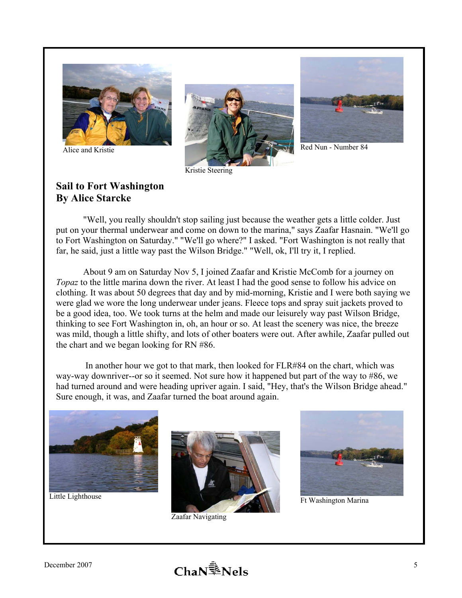

Alice and Kristie



Kristie Steering



Red Nun - Number 84

## **Sail to Fort Washington By Alice Starcke**

 "Well, you really shouldn't stop sailing just because the weather gets a little colder. Just put on your thermal underwear and come on down to the marina," says Zaafar Hasnain. "We'll go to Fort Washington on Saturday." "We'll go where?" I asked. "Fort Washington is not really that far, he said, just a little way past the Wilson Bridge." "Well, ok, I'll try it, I replied.

 About 9 am on Saturday Nov 5, I joined Zaafar and Kristie McComb for a journey on *Topaz* to the little marina down the river. At least I had the good sense to follow his advice on clothing. It was about 50 degrees that day and by mid-morning, Kristie and I were both saying we were glad we wore the long underwear under jeans. Fleece tops and spray suit jackets proved to be a good idea, too. We took turns at the helm and made our leisurely way past Wilson Bridge, thinking to see Fort Washington in, oh, an hour or so. At least the scenery was nice, the breeze was mild, though a little shifty, and lots of other boaters were out. After awhile, Zaafar pulled out the chart and we began looking for RN #86.

 In another hour we got to that mark, then looked for FLR#84 on the chart, which was way-way downriver--or so it seemed. Not sure how it happened but part of the way to #86, we had turned around and were heading upriver again. I said, "Hey, that's the Wilson Bridge ahead." Sure enough, it was, and Zaafar turned the boat around again.



Little Lighthouse



Zaafar Navigating



Ft Washington Marina

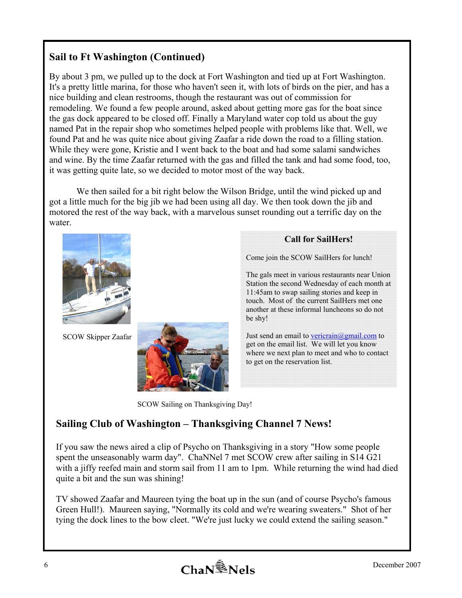# **Sail to Ft Washington (Continued)**

By about 3 pm, we pulled up to the dock at Fort Washington and tied up at Fort Washington. It's a pretty little marina, for those who haven't seen it, with lots of birds on the pier, and has a nice building and clean restrooms, though the restaurant was out of commission for remodeling. We found a few people around, asked about getting more gas for the boat since the gas dock appeared to be closed off. Finally a Maryland water cop told us about the guy named Pat in the repair shop who sometimes helped people with problems like that. Well, we found Pat and he was quite nice about giving Zaafar a ride down the road to a filling station. While they were gone, Kristie and I went back to the boat and had some salami sandwiches and wine. By the time Zaafar returned with the gas and filled the tank and had some food, too, it was getting quite late, so we decided to motor most of the way back.

We then sailed for a bit right below the Wilson Bridge, until the wind picked up and got a little much for the big jib we had been using all day. We then took down the jib and motored the rest of the way back, with a marvelous sunset rounding out a terrific day on the water.



SCOW Skipper Zaafar



#### **Call for SailHers!**

Come join the SCOW SailHers for lunch!

The gals meet in various restaurants near Union Station the second Wednesday of each month at 11:45am to swap sailing stories and keep in touch. Most of the current SailHers met one another at these informal luncheons so do not be shy!

Just send an email to vericrain@gmail.com to get on the email list. We will let you know where we next plan to meet and who to contact to get on the reservation list.

SCOW Sailing on Thanksgiving Day!

### **Sailing Club of Washington – Thanksgiving Channel 7 News!**

If you saw the news aired a clip of Psycho on Thanksgiving in a story "How some people spent the unseasonably warm day". ChaNNel 7 met SCOW crew after sailing in S14 G21 with a jiffy reefed main and storm sail from 11 am to 1pm. While returning the wind had died quite a bit and the sun was shining!

TV showed Zaafar and Maureen tying the boat up in the sun (and of course Psycho's famous Green Hull!). Maureen saying, "Normally its cold and we're wearing sweaters." Shot of her tying the dock lines to the bow cleet. "We're just lucky we could extend the sailing season."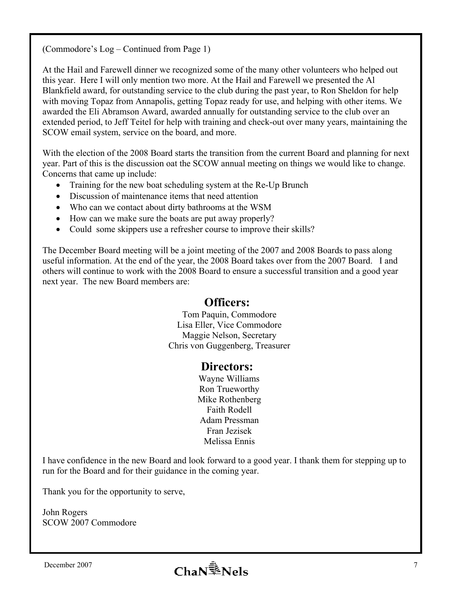(Commodore's Log – Continued from Page 1)

At the Hail and Farewell dinner we recognized some of the many other volunteers who helped out this year. Here I will only mention two more. At the Hail and Farewell we presented the Al Blankfield award, for outstanding service to the club during the past year, to Ron Sheldon for help with moving Topaz from Annapolis, getting Topaz ready for use, and helping with other items. We awarded the Eli Abramson Award, awarded annually for outstanding service to the club over an extended period, to Jeff Teitel for help with training and check-out over many years, maintaining the SCOW email system, service on the board, and more.

With the election of the 2008 Board starts the transition from the current Board and planning for next year. Part of this is the discussion oat the SCOW annual meeting on things we would like to change. Concerns that came up include:

- Training for the new boat scheduling system at the Re-Up Brunch
- Discussion of maintenance items that need attention
- Who can we contact about dirty bathrooms at the WSM
- How can we make sure the boats are put away properly?
- Could some skippers use a refresher course to improve their skills?

The December Board meeting will be a joint meeting of the 2007 and 2008 Boards to pass along useful information. At the end of the year, the 2008 Board takes over from the 2007 Board. I and others will continue to work with the 2008 Board to ensure a successful transition and a good year next year. The new Board members are:

# **Officers:**

 Tom Paquin, Commodore Lisa Eller, Vice Commodore Maggie Nelson, Secretary Chris von Guggenberg, Treasurer

## **Directors:**

 Wayne Williams Ron Trueworthy Mike Rothenberg Faith Rodell Adam Pressman Fran Jezisek Melissa Ennis

I have confidence in the new Board and look forward to a good year. I thank them for stepping up to run for the Board and for their guidance in the coming year.

Thank you for the opportunity to serve,

John Rogers SCOW 2007 Commodore